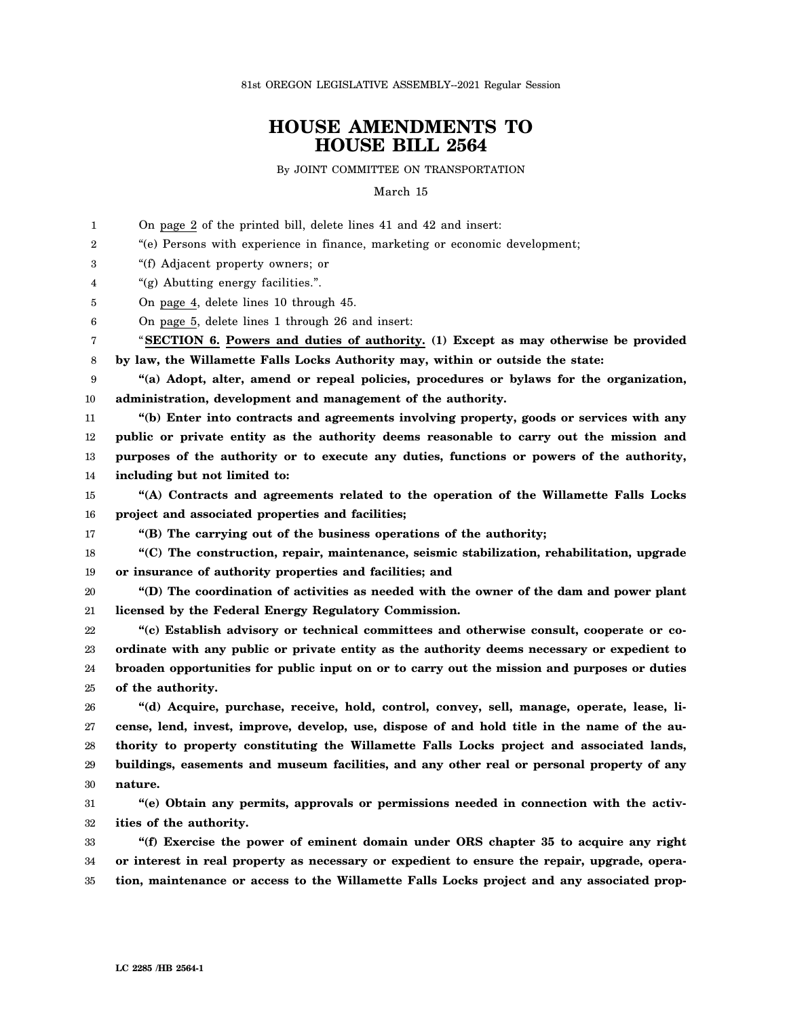81st OREGON LEGISLATIVE ASSEMBLY--2021 Regular Session

## **HOUSE AMENDMENTS TO HOUSE BILL 2564**

By JOINT COMMITTEE ON TRANSPORTATION

March 15

1  $\mathfrak{D}$ 3 4 5 6 7 8 9 10 11 12 13 14 15 16 17 18 19 20 21 22 23 24 25 26 27 28 29 30 31 32 33 34 35 On page 2 of the printed bill, delete lines 41 and 42 and insert: "(e) Persons with experience in finance, marketing or economic development; "(f) Adjacent property owners; or "(g) Abutting energy facilities.". On page 4, delete lines 10 through 45. On page 5, delete lines 1 through 26 and insert: "**SECTION 6. Powers and duties of authority. (1) Except as may otherwise be provided by law, the Willamette Falls Locks Authority may, within or outside the state: "(a) Adopt, alter, amend or repeal policies, procedures or bylaws for the organization, administration, development and management of the authority. "(b) Enter into contracts and agreements involving property, goods or services with any public or private entity as the authority deems reasonable to carry out the mission and purposes of the authority or to execute any duties, functions or powers of the authority, including but not limited to: "(A) Contracts and agreements related to the operation of the Willamette Falls Locks project and associated properties and facilities; "(B) The carrying out of the business operations of the authority; "(C) The construction, repair, maintenance, seismic stabilization, rehabilitation, upgrade or insurance of authority properties and facilities; and "(D) The coordination of activities as needed with the owner of the dam and power plant licensed by the Federal Energy Regulatory Commission. "(c) Establish advisory or technical committees and otherwise consult, cooperate or coordinate with any public or private entity as the authority deems necessary or expedient to broaden opportunities for public input on or to carry out the mission and purposes or duties of the authority. "(d) Acquire, purchase, receive, hold, control, convey, sell, manage, operate, lease, license, lend, invest, improve, develop, use, dispose of and hold title in the name of the authority to property constituting the Willamette Falls Locks project and associated lands, buildings, easements and museum facilities, and any other real or personal property of any nature. "(e) Obtain any permits, approvals or permissions needed in connection with the activities of the authority. "(f) Exercise the power of eminent domain under ORS chapter 35 to acquire any right or interest in real property as necessary or expedient to ensure the repair, upgrade, operation, maintenance or access to the Willamette Falls Locks project and any associated prop-**